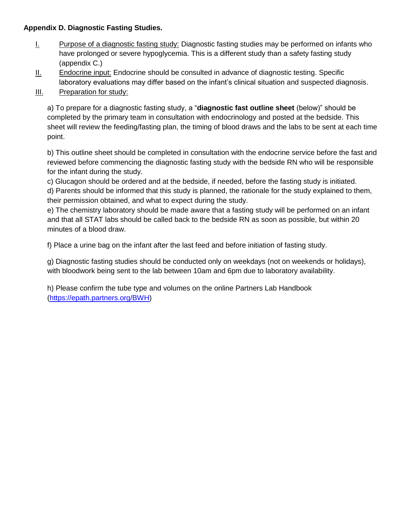## **Appendix D. Diagnostic Fasting Studies.**

- I. Purpose of a diagnostic fasting study: Diagnostic fasting studies may be performed on infants who have prolonged or severe hypoglycemia. This is a different study than a safety fasting study (appendix C.)
- II. Endocrine input: Endocrine should be consulted in advance of diagnostic testing. Specific laboratory evaluations may differ based on the infant's clinical situation and suspected diagnosis.
- **III.** Preparation for study:

a) To prepare for a diagnostic fasting study, a "**diagnostic fast outline sheet** (below)" should be completed by the primary team in consultation with endocrinology and posted at the bedside. This sheet will review the feeding/fasting plan, the timing of blood draws and the labs to be sent at each time point.

b) This outline sheet should be completed in consultation with the endocrine service before the fast and reviewed before commencing the diagnostic fasting study with the bedside RN who will be responsible for the infant during the study.

c) Glucagon should be ordered and at the bedside, if needed, before the fasting study is initiated.

d) Parents should be informed that this study is planned, the rationale for the study explained to them, their permission obtained, and what to expect during the study.

e) The chemistry laboratory should be made aware that a fasting study will be performed on an infant and that all STAT labs should be called back to the bedside RN as soon as possible, but within 20 minutes of a blood draw.

f) Place a urine bag on the infant after the last feed and before initiation of fasting study.

g) Diagnostic fasting studies should be conducted only on weekdays (not on weekends or holidays), with bloodwork being sent to the lab between 10am and 6pm due to laboratory availability.

h) Please confirm the tube type and volumes on the online Partners Lab Handbook [\(https://epath.partners.org/BWH\)](https://epath.partners.org/BWH)